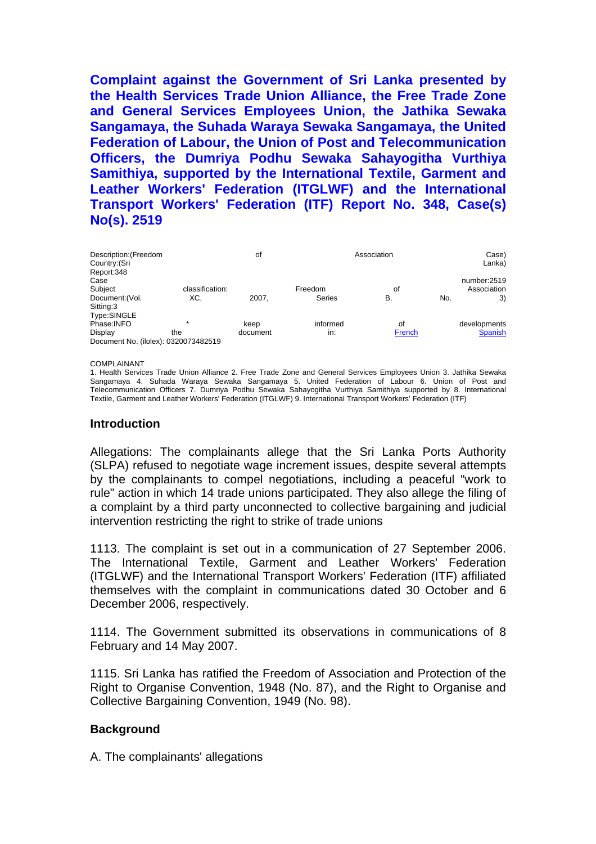**Complaint against the Government of Sri Lanka presented by the Health Services Trade Union Alliance, the Free Trade Zone and General Services Employees Union, the Jathika Sewaka Sangamaya, the Suhada Waraya Sewaka Sangamaya, the United Federation of Labour, the Union of Post and Telecommunication Officers, the Dumriya Podhu Sewaka Sahayogitha Vurthiya Samithiya, supported by the International Textile, Garment and Leather Workers' Federation (ITGLWF) and the International Transport Workers' Federation (ITF) Report No. 348, Case(s) No(s). 2519** 

| Description: (Freedom<br>Country: (Sri<br>Report:348 |                 | of       |               |        | Case)<br>Lanka) |                |  |  |
|------------------------------------------------------|-----------------|----------|---------------|--------|-----------------|----------------|--|--|
| Case                                                 |                 |          |               |        |                 | number:2519    |  |  |
| Subject                                              | classification: |          | Freedom       | οf     |                 | Association    |  |  |
| Document: (Vol.                                      | XC.             | 2007.    | <b>Series</b> | В.     | No.             | 3)             |  |  |
| Sitting:3                                            |                 |          |               |        |                 |                |  |  |
| Type:SINGLE                                          |                 |          |               |        |                 |                |  |  |
| Phase: INFO                                          | $\star$         | keep     | informed      | οf     |                 | developments   |  |  |
| Display                                              | the             | document | in:           | French |                 | <b>Spanish</b> |  |  |
| Document No. (ilolex): 0320073482519                 |                 |          |               |        |                 |                |  |  |

#### COMPLAINANT

1. Health Services Trade Union Alliance 2. Free Trade Zone and General Services Employees Union 3. Jathika Sewaka Sangamaya 4. Suhada Waraya Sewaka Sangamaya 5. United Federation of Labour 6. Union of Post and Telecommunication Officers 7. Dumriya Podhu Sewaka Sahayogitha Vurthiya Samithiya supported by 8. International Textile, Garment and Leather Workers' Federation (ITGLWF) 9. International Transport Workers' Federation (ITF)

#### **Introduction**

Allegations: The complainants allege that the Sri Lanka Ports Authority (SLPA) refused to negotiate wage increment issues, despite several attempts by the complainants to compel negotiations, including a peaceful "work to rule" action in which 14 trade unions participated. They also allege the filing of a complaint by a third party unconnected to collective bargaining and judicial intervention restricting the right to strike of trade unions

1113. The complaint is set out in a communication of 27 September 2006. The International Textile, Garment and Leather Workers' Federation (ITGLWF) and the International Transport Workers' Federation (ITF) affiliated themselves with the complaint in communications dated 30 October and 6 December 2006, respectively.

1114. The Government submitted its observations in communications of 8 February and 14 May 2007.

1115. Sri Lanka has ratified the Freedom of Association and Protection of the Right to Organise Convention, 1948 (No. 87), and the Right to Organise and Collective Bargaining Convention, 1949 (No. 98).

# **Background**

A. The complainants' allegations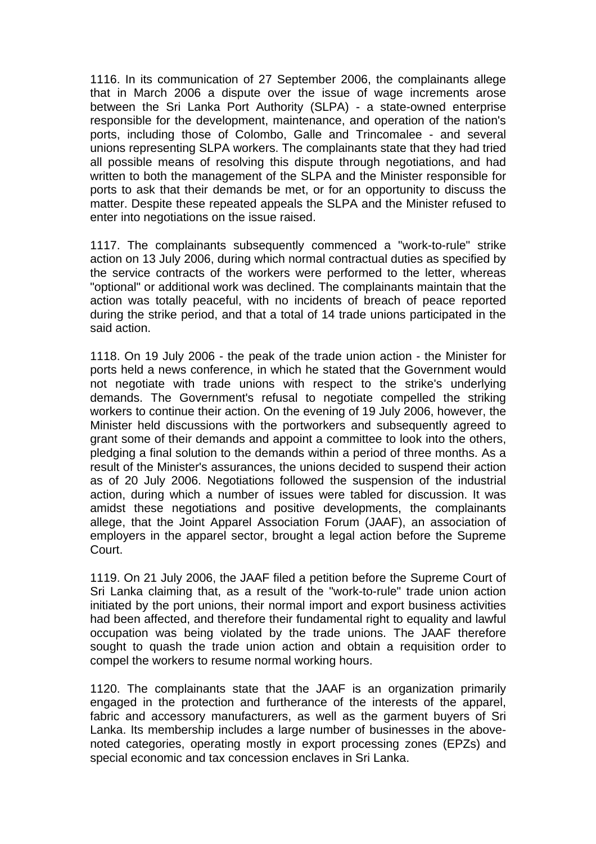1116. In its communication of 27 September 2006, the complainants allege that in March 2006 a dispute over the issue of wage increments arose between the Sri Lanka Port Authority (SLPA) - a state-owned enterprise responsible for the development, maintenance, and operation of the nation's ports, including those of Colombo, Galle and Trincomalee - and several unions representing SLPA workers. The complainants state that they had tried all possible means of resolving this dispute through negotiations, and had written to both the management of the SLPA and the Minister responsible for ports to ask that their demands be met, or for an opportunity to discuss the matter. Despite these repeated appeals the SLPA and the Minister refused to enter into negotiations on the issue raised.

1117. The complainants subsequently commenced a "work-to-rule" strike action on 13 July 2006, during which normal contractual duties as specified by the service contracts of the workers were performed to the letter, whereas "optional" or additional work was declined. The complainants maintain that the action was totally peaceful, with no incidents of breach of peace reported during the strike period, and that a total of 14 trade unions participated in the said action.

1118. On 19 July 2006 - the peak of the trade union action - the Minister for ports held a news conference, in which he stated that the Government would not negotiate with trade unions with respect to the strike's underlying demands. The Government's refusal to negotiate compelled the striking workers to continue their action. On the evening of 19 July 2006, however, the Minister held discussions with the portworkers and subsequently agreed to grant some of their demands and appoint a committee to look into the others, pledging a final solution to the demands within a period of three months. As a result of the Minister's assurances, the unions decided to suspend their action as of 20 July 2006. Negotiations followed the suspension of the industrial action, during which a number of issues were tabled for discussion. It was amidst these negotiations and positive developments, the complainants allege, that the Joint Apparel Association Forum (JAAF), an association of employers in the apparel sector, brought a legal action before the Supreme Court.

1119. On 21 July 2006, the JAAF filed a petition before the Supreme Court of Sri Lanka claiming that, as a result of the "work-to-rule" trade union action initiated by the port unions, their normal import and export business activities had been affected, and therefore their fundamental right to equality and lawful occupation was being violated by the trade unions. The JAAF therefore sought to quash the trade union action and obtain a requisition order to compel the workers to resume normal working hours.

1120. The complainants state that the JAAF is an organization primarily engaged in the protection and furtherance of the interests of the apparel, fabric and accessory manufacturers, as well as the garment buyers of Sri Lanka. Its membership includes a large number of businesses in the abovenoted categories, operating mostly in export processing zones (EPZs) and special economic and tax concession enclaves in Sri Lanka.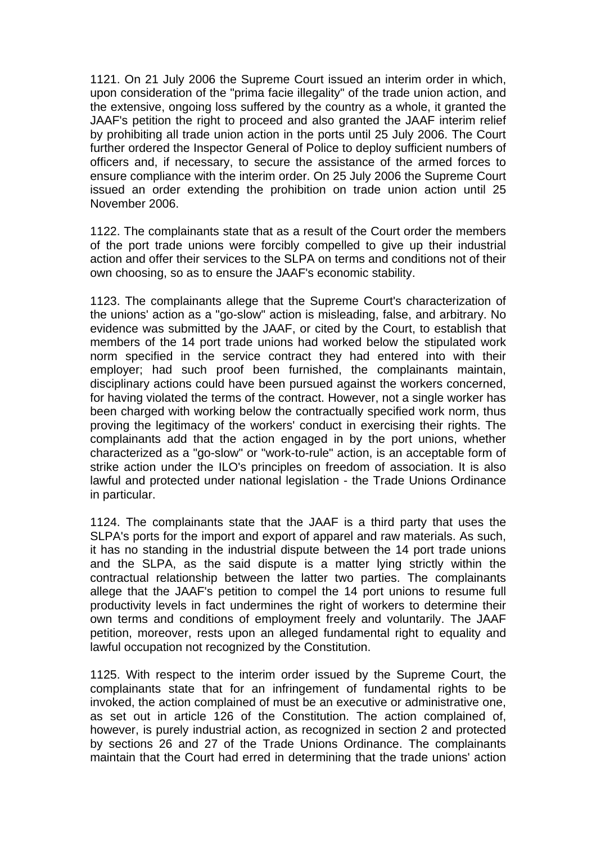1121. On 21 July 2006 the Supreme Court issued an interim order in which, upon consideration of the "prima facie illegality" of the trade union action, and the extensive, ongoing loss suffered by the country as a whole, it granted the JAAF's petition the right to proceed and also granted the JAAF interim relief by prohibiting all trade union action in the ports until 25 July 2006. The Court further ordered the Inspector General of Police to deploy sufficient numbers of officers and, if necessary, to secure the assistance of the armed forces to ensure compliance with the interim order. On 25 July 2006 the Supreme Court issued an order extending the prohibition on trade union action until 25 November 2006.

1122. The complainants state that as a result of the Court order the members of the port trade unions were forcibly compelled to give up their industrial action and offer their services to the SLPA on terms and conditions not of their own choosing, so as to ensure the JAAF's economic stability.

1123. The complainants allege that the Supreme Court's characterization of the unions' action as a "go-slow" action is misleading, false, and arbitrary. No evidence was submitted by the JAAF, or cited by the Court, to establish that members of the 14 port trade unions had worked below the stipulated work norm specified in the service contract they had entered into with their employer; had such proof been furnished, the complainants maintain, disciplinary actions could have been pursued against the workers concerned, for having violated the terms of the contract. However, not a single worker has been charged with working below the contractually specified work norm, thus proving the legitimacy of the workers' conduct in exercising their rights. The complainants add that the action engaged in by the port unions, whether characterized as a "go-slow" or "work-to-rule" action, is an acceptable form of strike action under the ILO's principles on freedom of association. It is also lawful and protected under national legislation - the Trade Unions Ordinance in particular.

1124. The complainants state that the JAAF is a third party that uses the SLPA's ports for the import and export of apparel and raw materials. As such, it has no standing in the industrial dispute between the 14 port trade unions and the SLPA, as the said dispute is a matter lying strictly within the contractual relationship between the latter two parties. The complainants allege that the JAAF's petition to compel the 14 port unions to resume full productivity levels in fact undermines the right of workers to determine their own terms and conditions of employment freely and voluntarily. The JAAF petition, moreover, rests upon an alleged fundamental right to equality and lawful occupation not recognized by the Constitution.

1125. With respect to the interim order issued by the Supreme Court, the complainants state that for an infringement of fundamental rights to be invoked, the action complained of must be an executive or administrative one, as set out in article 126 of the Constitution. The action complained of, however, is purely industrial action, as recognized in section 2 and protected by sections 26 and 27 of the Trade Unions Ordinance. The complainants maintain that the Court had erred in determining that the trade unions' action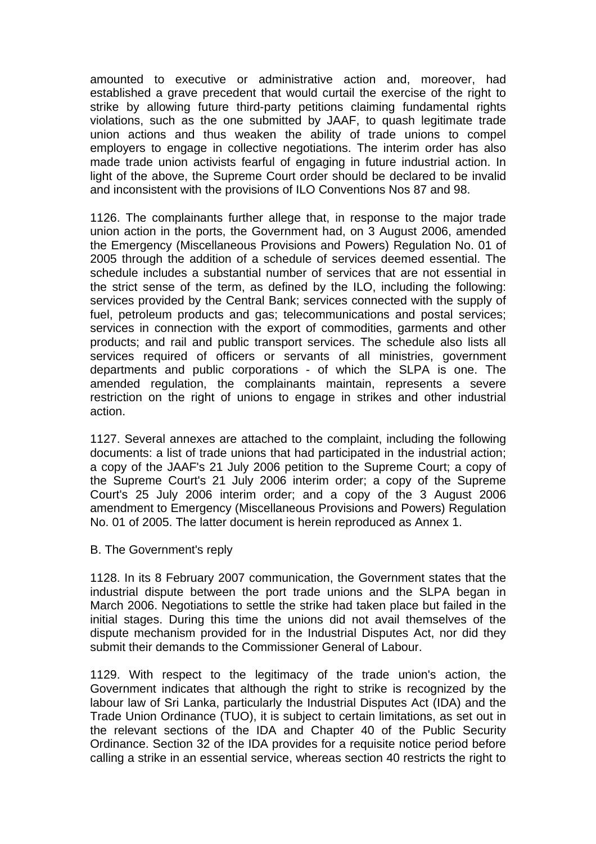amounted to executive or administrative action and, moreover, had established a grave precedent that would curtail the exercise of the right to strike by allowing future third-party petitions claiming fundamental rights violations, such as the one submitted by JAAF, to quash legitimate trade union actions and thus weaken the ability of trade unions to compel employers to engage in collective negotiations. The interim order has also made trade union activists fearful of engaging in future industrial action. In light of the above, the Supreme Court order should be declared to be invalid and inconsistent with the provisions of ILO Conventions Nos 87 and 98.

1126. The complainants further allege that, in response to the major trade union action in the ports, the Government had, on 3 August 2006, amended the Emergency (Miscellaneous Provisions and Powers) Regulation No. 01 of 2005 through the addition of a schedule of services deemed essential. The schedule includes a substantial number of services that are not essential in the strict sense of the term, as defined by the ILO, including the following: services provided by the Central Bank; services connected with the supply of fuel, petroleum products and gas; telecommunications and postal services; services in connection with the export of commodities, garments and other products; and rail and public transport services. The schedule also lists all services required of officers or servants of all ministries, government departments and public corporations - of which the SLPA is one. The amended regulation, the complainants maintain, represents a severe restriction on the right of unions to engage in strikes and other industrial action.

1127. Several annexes are attached to the complaint, including the following documents: a list of trade unions that had participated in the industrial action; a copy of the JAAF's 21 July 2006 petition to the Supreme Court; a copy of the Supreme Court's 21 July 2006 interim order; a copy of the Supreme Court's 25 July 2006 interim order; and a copy of the 3 August 2006 amendment to Emergency (Miscellaneous Provisions and Powers) Regulation No. 01 of 2005. The latter document is herein reproduced as Annex 1.

# B. The Government's reply

1128. In its 8 February 2007 communication, the Government states that the industrial dispute between the port trade unions and the SLPA began in March 2006. Negotiations to settle the strike had taken place but failed in the initial stages. During this time the unions did not avail themselves of the dispute mechanism provided for in the Industrial Disputes Act, nor did they submit their demands to the Commissioner General of Labour.

1129. With respect to the legitimacy of the trade union's action, the Government indicates that although the right to strike is recognized by the labour law of Sri Lanka, particularly the Industrial Disputes Act (IDA) and the Trade Union Ordinance (TUO), it is subject to certain limitations, as set out in the relevant sections of the IDA and Chapter 40 of the Public Security Ordinance. Section 32 of the IDA provides for a requisite notice period before calling a strike in an essential service, whereas section 40 restricts the right to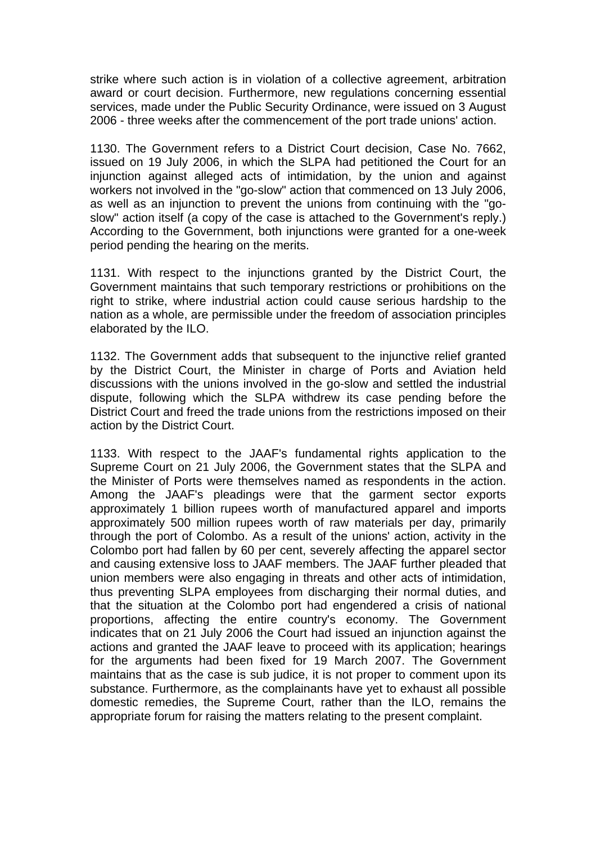strike where such action is in violation of a collective agreement, arbitration award or court decision. Furthermore, new regulations concerning essential services, made under the Public Security Ordinance, were issued on 3 August 2006 - three weeks after the commencement of the port trade unions' action.

1130. The Government refers to a District Court decision, Case No. 7662, issued on 19 July 2006, in which the SLPA had petitioned the Court for an injunction against alleged acts of intimidation, by the union and against workers not involved in the "go-slow" action that commenced on 13 July 2006, as well as an injunction to prevent the unions from continuing with the "goslow" action itself (a copy of the case is attached to the Government's reply.) According to the Government, both injunctions were granted for a one-week period pending the hearing on the merits.

1131. With respect to the injunctions granted by the District Court, the Government maintains that such temporary restrictions or prohibitions on the right to strike, where industrial action could cause serious hardship to the nation as a whole, are permissible under the freedom of association principles elaborated by the ILO.

1132. The Government adds that subsequent to the injunctive relief granted by the District Court, the Minister in charge of Ports and Aviation held discussions with the unions involved in the go-slow and settled the industrial dispute, following which the SLPA withdrew its case pending before the District Court and freed the trade unions from the restrictions imposed on their action by the District Court.

1133. With respect to the JAAF's fundamental rights application to the Supreme Court on 21 July 2006, the Government states that the SLPA and the Minister of Ports were themselves named as respondents in the action. Among the JAAF's pleadings were that the garment sector exports approximately 1 billion rupees worth of manufactured apparel and imports approximately 500 million rupees worth of raw materials per day, primarily through the port of Colombo. As a result of the unions' action, activity in the Colombo port had fallen by 60 per cent, severely affecting the apparel sector and causing extensive loss to JAAF members. The JAAF further pleaded that union members were also engaging in threats and other acts of intimidation, thus preventing SLPA employees from discharging their normal duties, and that the situation at the Colombo port had engendered a crisis of national proportions, affecting the entire country's economy. The Government indicates that on 21 July 2006 the Court had issued an injunction against the actions and granted the JAAF leave to proceed with its application; hearings for the arguments had been fixed for 19 March 2007. The Government maintains that as the case is sub judice, it is not proper to comment upon its substance. Furthermore, as the complainants have yet to exhaust all possible domestic remedies, the Supreme Court, rather than the ILO, remains the appropriate forum for raising the matters relating to the present complaint.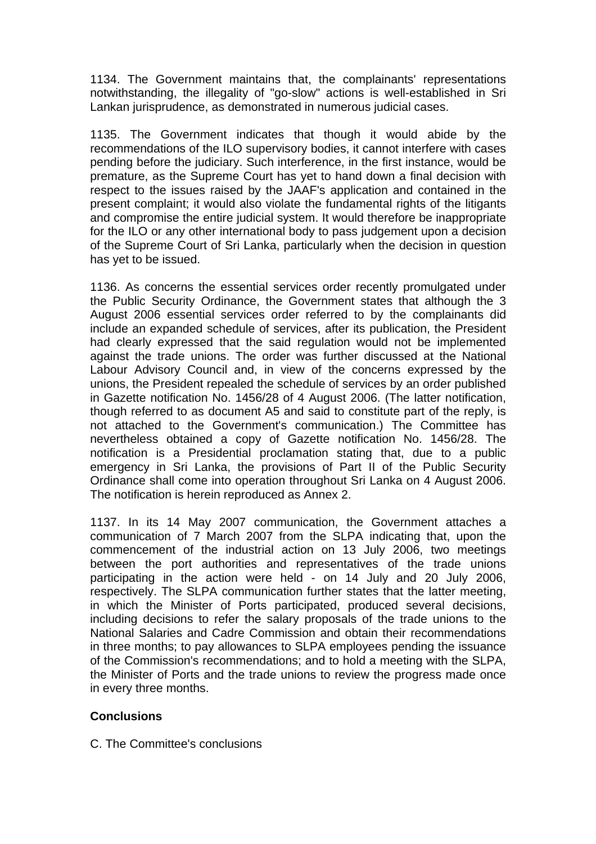1134. The Government maintains that, the complainants' representations notwithstanding, the illegality of "go-slow" actions is well-established in Sri Lankan jurisprudence, as demonstrated in numerous judicial cases.

1135. The Government indicates that though it would abide by the recommendations of the ILO supervisory bodies, it cannot interfere with cases pending before the judiciary. Such interference, in the first instance, would be premature, as the Supreme Court has yet to hand down a final decision with respect to the issues raised by the JAAF's application and contained in the present complaint; it would also violate the fundamental rights of the litigants and compromise the entire judicial system. It would therefore be inappropriate for the ILO or any other international body to pass judgement upon a decision of the Supreme Court of Sri Lanka, particularly when the decision in question has yet to be issued.

1136. As concerns the essential services order recently promulgated under the Public Security Ordinance, the Government states that although the 3 August 2006 essential services order referred to by the complainants did include an expanded schedule of services, after its publication, the President had clearly expressed that the said regulation would not be implemented against the trade unions. The order was further discussed at the National Labour Advisory Council and, in view of the concerns expressed by the unions, the President repealed the schedule of services by an order published in Gazette notification No. 1456/28 of 4 August 2006. (The latter notification, though referred to as document A5 and said to constitute part of the reply, is not attached to the Government's communication.) The Committee has nevertheless obtained a copy of Gazette notification No. 1456/28. The notification is a Presidential proclamation stating that, due to a public emergency in Sri Lanka, the provisions of Part II of the Public Security Ordinance shall come into operation throughout Sri Lanka on 4 August 2006. The notification is herein reproduced as Annex 2.

1137. In its 14 May 2007 communication, the Government attaches a communication of 7 March 2007 from the SLPA indicating that, upon the commencement of the industrial action on 13 July 2006, two meetings between the port authorities and representatives of the trade unions participating in the action were held - on 14 July and 20 July 2006, respectively. The SLPA communication further states that the latter meeting, in which the Minister of Ports participated, produced several decisions, including decisions to refer the salary proposals of the trade unions to the National Salaries and Cadre Commission and obtain their recommendations in three months; to pay allowances to SLPA employees pending the issuance of the Commission's recommendations; and to hold a meeting with the SLPA, the Minister of Ports and the trade unions to review the progress made once in every three months.

# **Conclusions**

C. The Committee's conclusions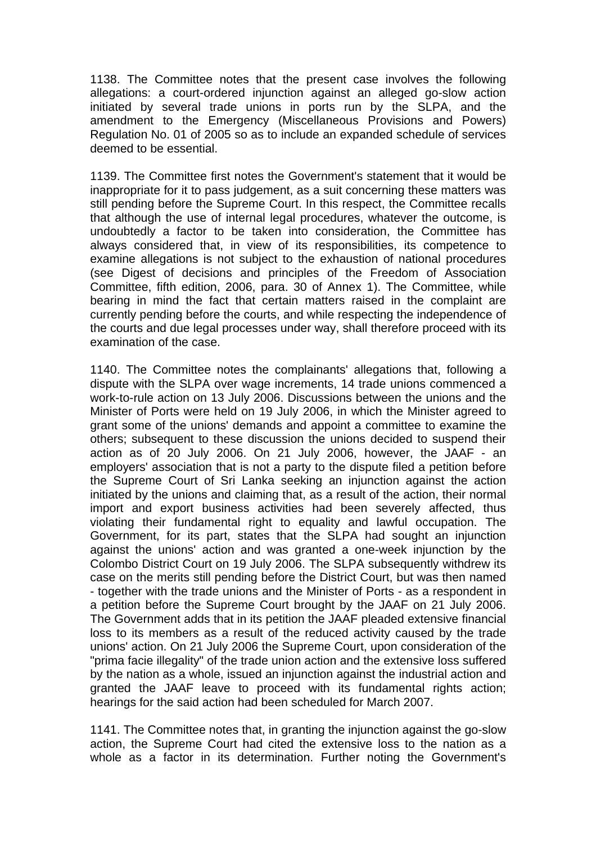1138. The Committee notes that the present case involves the following allegations: a court-ordered injunction against an alleged go-slow action initiated by several trade unions in ports run by the SLPA, and the amendment to the Emergency (Miscellaneous Provisions and Powers) Regulation No. 01 of 2005 so as to include an expanded schedule of services deemed to be essential.

1139. The Committee first notes the Government's statement that it would be inappropriate for it to pass judgement, as a suit concerning these matters was still pending before the Supreme Court. In this respect, the Committee recalls that although the use of internal legal procedures, whatever the outcome, is undoubtedly a factor to be taken into consideration, the Committee has always considered that, in view of its responsibilities, its competence to examine allegations is not subject to the exhaustion of national procedures (see Digest of decisions and principles of the Freedom of Association Committee, fifth edition, 2006, para. 30 of Annex 1). The Committee, while bearing in mind the fact that certain matters raised in the complaint are currently pending before the courts, and while respecting the independence of the courts and due legal processes under way, shall therefore proceed with its examination of the case.

1140. The Committee notes the complainants' allegations that, following a dispute with the SLPA over wage increments, 14 trade unions commenced a work-to-rule action on 13 July 2006. Discussions between the unions and the Minister of Ports were held on 19 July 2006, in which the Minister agreed to grant some of the unions' demands and appoint a committee to examine the others; subsequent to these discussion the unions decided to suspend their action as of 20 July 2006. On 21 July 2006, however, the JAAF - an employers' association that is not a party to the dispute filed a petition before the Supreme Court of Sri Lanka seeking an injunction against the action initiated by the unions and claiming that, as a result of the action, their normal import and export business activities had been severely affected, thus violating their fundamental right to equality and lawful occupation. The Government, for its part, states that the SLPA had sought an injunction against the unions' action and was granted a one-week injunction by the Colombo District Court on 19 July 2006. The SLPA subsequently withdrew its case on the merits still pending before the District Court, but was then named - together with the trade unions and the Minister of Ports - as a respondent in a petition before the Supreme Court brought by the JAAF on 21 July 2006. The Government adds that in its petition the JAAF pleaded extensive financial loss to its members as a result of the reduced activity caused by the trade unions' action. On 21 July 2006 the Supreme Court, upon consideration of the "prima facie illegality" of the trade union action and the extensive loss suffered by the nation as a whole, issued an injunction against the industrial action and granted the JAAF leave to proceed with its fundamental rights action; hearings for the said action had been scheduled for March 2007.

1141. The Committee notes that, in granting the injunction against the go-slow action, the Supreme Court had cited the extensive loss to the nation as a whole as a factor in its determination. Further noting the Government's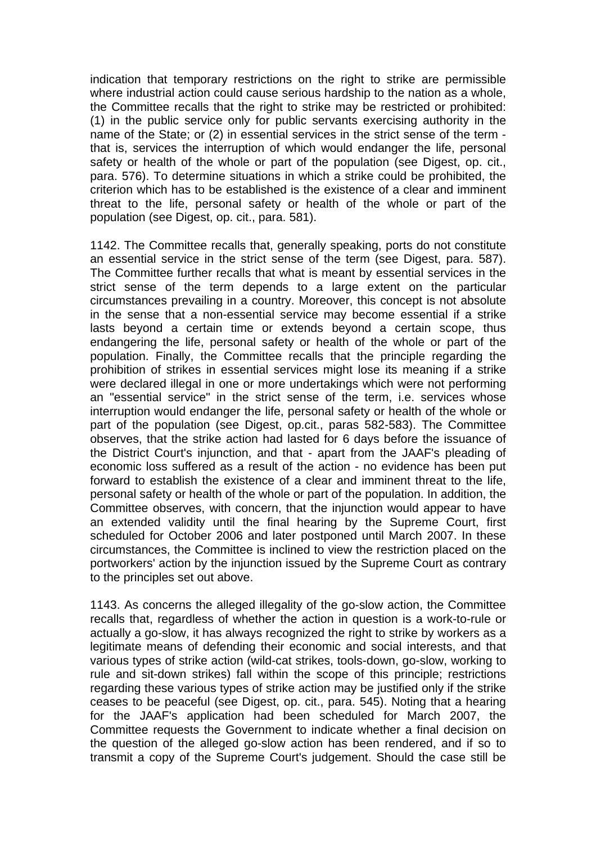indication that temporary restrictions on the right to strike are permissible where industrial action could cause serious hardship to the nation as a whole, the Committee recalls that the right to strike may be restricted or prohibited: (1) in the public service only for public servants exercising authority in the name of the State; or (2) in essential services in the strict sense of the term that is, services the interruption of which would endanger the life, personal safety or health of the whole or part of the population (see Digest, op. cit., para. 576). To determine situations in which a strike could be prohibited, the criterion which has to be established is the existence of a clear and imminent threat to the life, personal safety or health of the whole or part of the population (see Digest, op. cit., para. 581).

1142. The Committee recalls that, generally speaking, ports do not constitute an essential service in the strict sense of the term (see Digest, para. 587). The Committee further recalls that what is meant by essential services in the strict sense of the term depends to a large extent on the particular circumstances prevailing in a country. Moreover, this concept is not absolute in the sense that a non-essential service may become essential if a strike lasts beyond a certain time or extends beyond a certain scope, thus endangering the life, personal safety or health of the whole or part of the population. Finally, the Committee recalls that the principle regarding the prohibition of strikes in essential services might lose its meaning if a strike were declared illegal in one or more undertakings which were not performing an "essential service" in the strict sense of the term, i.e. services whose interruption would endanger the life, personal safety or health of the whole or part of the population (see Digest, op.cit., paras 582-583). The Committee observes, that the strike action had lasted for 6 days before the issuance of the District Court's injunction, and that - apart from the JAAF's pleading of economic loss suffered as a result of the action - no evidence has been put forward to establish the existence of a clear and imminent threat to the life, personal safety or health of the whole or part of the population. In addition, the Committee observes, with concern, that the injunction would appear to have an extended validity until the final hearing by the Supreme Court, first scheduled for October 2006 and later postponed until March 2007. In these circumstances, the Committee is inclined to view the restriction placed on the portworkers' action by the injunction issued by the Supreme Court as contrary to the principles set out above.

1143. As concerns the alleged illegality of the go-slow action, the Committee recalls that, regardless of whether the action in question is a work-to-rule or actually a go-slow, it has always recognized the right to strike by workers as a legitimate means of defending their economic and social interests, and that various types of strike action (wild-cat strikes, tools-down, go-slow, working to rule and sit-down strikes) fall within the scope of this principle; restrictions regarding these various types of strike action may be justified only if the strike ceases to be peaceful (see Digest, op. cit., para. 545). Noting that a hearing for the JAAF's application had been scheduled for March 2007, the Committee requests the Government to indicate whether a final decision on the question of the alleged go-slow action has been rendered, and if so to transmit a copy of the Supreme Court's judgement. Should the case still be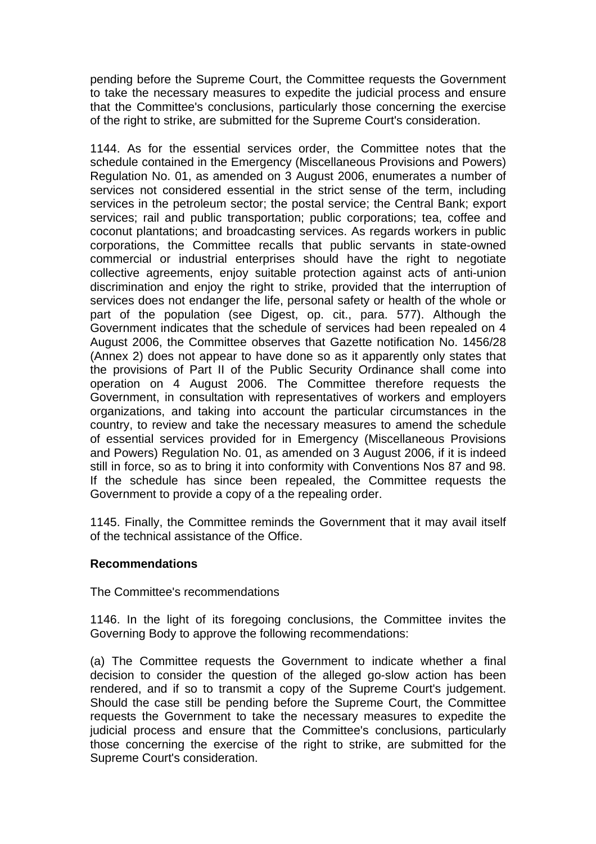pending before the Supreme Court, the Committee requests the Government to take the necessary measures to expedite the judicial process and ensure that the Committee's conclusions, particularly those concerning the exercise of the right to strike, are submitted for the Supreme Court's consideration.

1144. As for the essential services order, the Committee notes that the schedule contained in the Emergency (Miscellaneous Provisions and Powers) Regulation No. 01, as amended on 3 August 2006, enumerates a number of services not considered essential in the strict sense of the term, including services in the petroleum sector; the postal service; the Central Bank; export services; rail and public transportation; public corporations; tea, coffee and coconut plantations; and broadcasting services. As regards workers in public corporations, the Committee recalls that public servants in state-owned commercial or industrial enterprises should have the right to negotiate collective agreements, enjoy suitable protection against acts of anti-union discrimination and enjoy the right to strike, provided that the interruption of services does not endanger the life, personal safety or health of the whole or part of the population (see Digest, op. cit., para. 577). Although the Government indicates that the schedule of services had been repealed on 4 August 2006, the Committee observes that Gazette notification No. 1456/28 (Annex 2) does not appear to have done so as it apparently only states that the provisions of Part II of the Public Security Ordinance shall come into operation on 4 August 2006. The Committee therefore requests the Government, in consultation with representatives of workers and employers organizations, and taking into account the particular circumstances in the country, to review and take the necessary measures to amend the schedule of essential services provided for in Emergency (Miscellaneous Provisions and Powers) Regulation No. 01, as amended on 3 August 2006, if it is indeed still in force, so as to bring it into conformity with Conventions Nos 87 and 98. If the schedule has since been repealed, the Committee requests the Government to provide a copy of a the repealing order.

1145. Finally, the Committee reminds the Government that it may avail itself of the technical assistance of the Office.

# **Recommendations**

The Committee's recommendations

1146. In the light of its foregoing conclusions, the Committee invites the Governing Body to approve the following recommendations:

(a) The Committee requests the Government to indicate whether a final decision to consider the question of the alleged go-slow action has been rendered, and if so to transmit a copy of the Supreme Court's judgement. Should the case still be pending before the Supreme Court, the Committee requests the Government to take the necessary measures to expedite the judicial process and ensure that the Committee's conclusions, particularly those concerning the exercise of the right to strike, are submitted for the Supreme Court's consideration.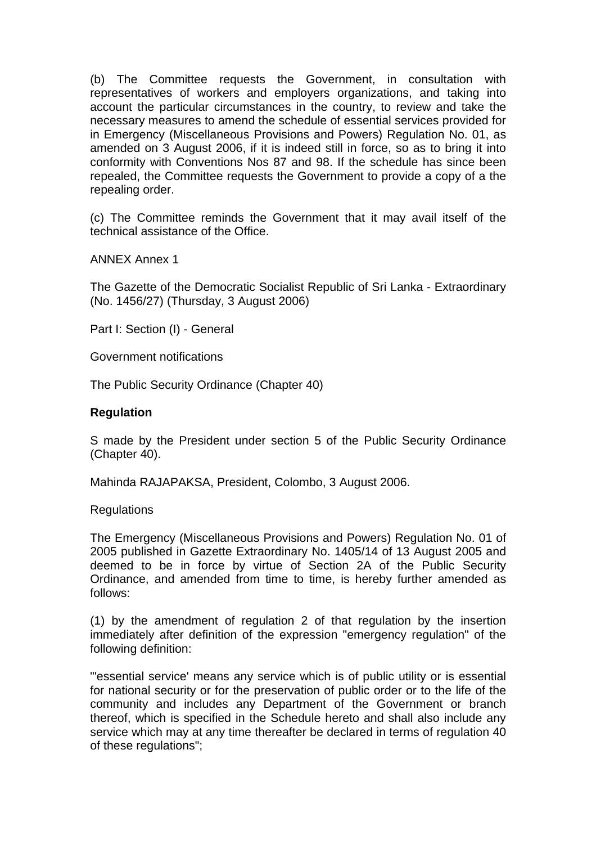(b) The Committee requests the Government, in consultation with representatives of workers and employers organizations, and taking into account the particular circumstances in the country, to review and take the necessary measures to amend the schedule of essential services provided for in Emergency (Miscellaneous Provisions and Powers) Regulation No. 01, as amended on 3 August 2006, if it is indeed still in force, so as to bring it into conformity with Conventions Nos 87 and 98. If the schedule has since been repealed, the Committee requests the Government to provide a copy of a the repealing order.

(c) The Committee reminds the Government that it may avail itself of the technical assistance of the Office.

ANNEX Annex 1

The Gazette of the Democratic Socialist Republic of Sri Lanka - Extraordinary (No. 1456/27) (Thursday, 3 August 2006)

Part I: Section (I) - General

Government notifications

The Public Security Ordinance (Chapter 40)

### **Regulation**

S made by the President under section 5 of the Public Security Ordinance (Chapter 40).

Mahinda RAJAPAKSA, President, Colombo, 3 August 2006.

**Regulations** 

The Emergency (Miscellaneous Provisions and Powers) Regulation No. 01 of 2005 published in Gazette Extraordinary No. 1405/14 of 13 August 2005 and deemed to be in force by virtue of Section 2A of the Public Security Ordinance, and amended from time to time, is hereby further amended as follows:

(1) by the amendment of regulation 2 of that regulation by the insertion immediately after definition of the expression "emergency regulation" of the following definition:

"'essential service' means any service which is of public utility or is essential for national security or for the preservation of public order or to the life of the community and includes any Department of the Government or branch thereof, which is specified in the Schedule hereto and shall also include any service which may at any time thereafter be declared in terms of regulation 40 of these regulations";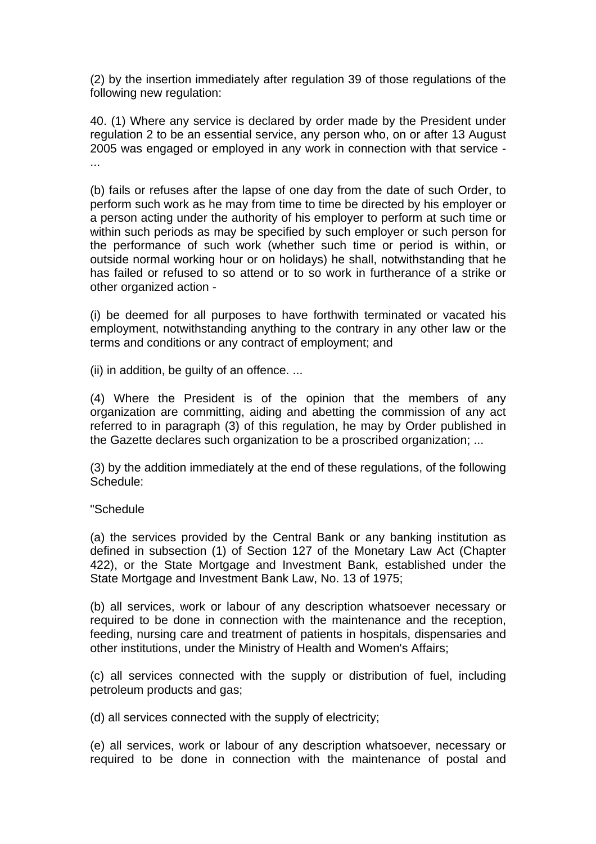(2) by the insertion immediately after regulation 39 of those regulations of the following new regulation:

40. (1) Where any service is declared by order made by the President under regulation 2 to be an essential service, any person who, on or after 13 August 2005 was engaged or employed in any work in connection with that service - ...

(b) fails or refuses after the lapse of one day from the date of such Order, to perform such work as he may from time to time be directed by his employer or a person acting under the authority of his employer to perform at such time or within such periods as may be specified by such employer or such person for the performance of such work (whether such time or period is within, or outside normal working hour or on holidays) he shall, notwithstanding that he has failed or refused to so attend or to so work in furtherance of a strike or other organized action -

(i) be deemed for all purposes to have forthwith terminated or vacated his employment, notwithstanding anything to the contrary in any other law or the terms and conditions or any contract of employment; and

(ii) in addition, be guilty of an offence. ...

(4) Where the President is of the opinion that the members of any organization are committing, aiding and abetting the commission of any act referred to in paragraph (3) of this regulation, he may by Order published in the Gazette declares such organization to be a proscribed organization; ...

(3) by the addition immediately at the end of these regulations, of the following Schedule:

# "Schedule

(a) the services provided by the Central Bank or any banking institution as defined in subsection (1) of Section 127 of the Monetary Law Act (Chapter 422), or the State Mortgage and Investment Bank, established under the State Mortgage and Investment Bank Law, No. 13 of 1975;

(b) all services, work or labour of any description whatsoever necessary or required to be done in connection with the maintenance and the reception, feeding, nursing care and treatment of patients in hospitals, dispensaries and other institutions, under the Ministry of Health and Women's Affairs;

(c) all services connected with the supply or distribution of fuel, including petroleum products and gas;

(d) all services connected with the supply of electricity;

(e) all services, work or labour of any description whatsoever, necessary or required to be done in connection with the maintenance of postal and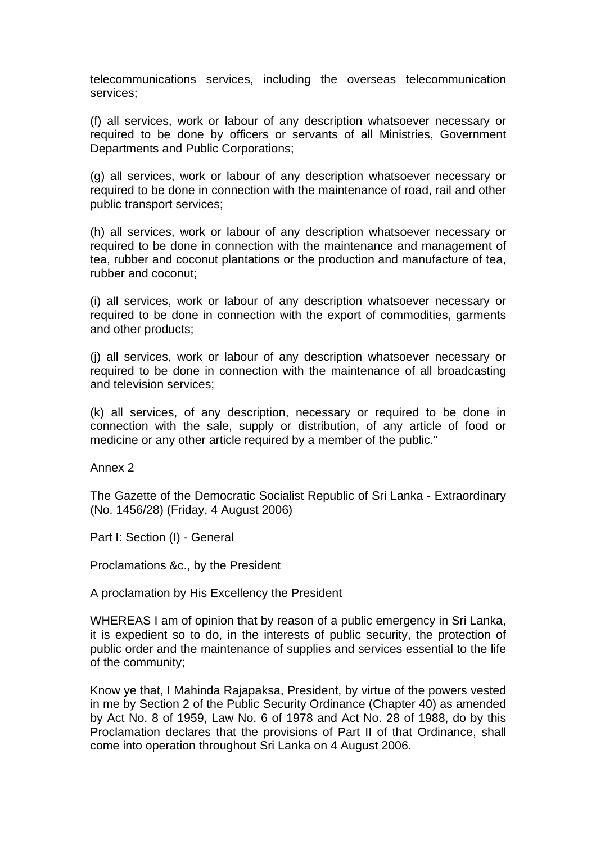telecommunications services, including the overseas telecommunication services;

(f) all services, work or labour of any description whatsoever necessary or required to be done by officers or servants of all Ministries, Government Departments and Public Corporations;

(g) all services, work or labour of any description whatsoever necessary or required to be done in connection with the maintenance of road, rail and other public transport services;

(h) all services, work or labour of any description whatsoever necessary or required to be done in connection with the maintenance and management of tea, rubber and coconut plantations or the production and manufacture of tea, rubber and coconut;

(i) all services, work or labour of any description whatsoever necessary or required to be done in connection with the export of commodities, garments and other products;

(j) all services, work or labour of any description whatsoever necessary or required to be done in connection with the maintenance of all broadcasting and television services;

(k) all services, of any description, necessary or required to be done in connection with the sale, supply or distribution, of any article of food or medicine or any other article required by a member of the public."

Annex 2

The Gazette of the Democratic Socialist Republic of Sri Lanka - Extraordinary (No. 1456/28) (Friday, 4 August 2006)

Part I: Section (I) - General

Proclamations &c., by the President

A proclamation by His Excellency the President

WHEREAS I am of opinion that by reason of a public emergency in Sri Lanka, it is expedient so to do, in the interests of public security, the protection of public order and the maintenance of supplies and services essential to the life of the community;

Know ye that, I Mahinda Rajapaksa, President, by virtue of the powers vested in me by Section 2 of the Public Security Ordinance (Chapter 40) as amended by Act No. 8 of 1959, Law No. 6 of 1978 and Act No. 28 of 1988, do by this Proclamation declares that the provisions of Part II of that Ordinance, shall come into operation throughout Sri Lanka on 4 August 2006.